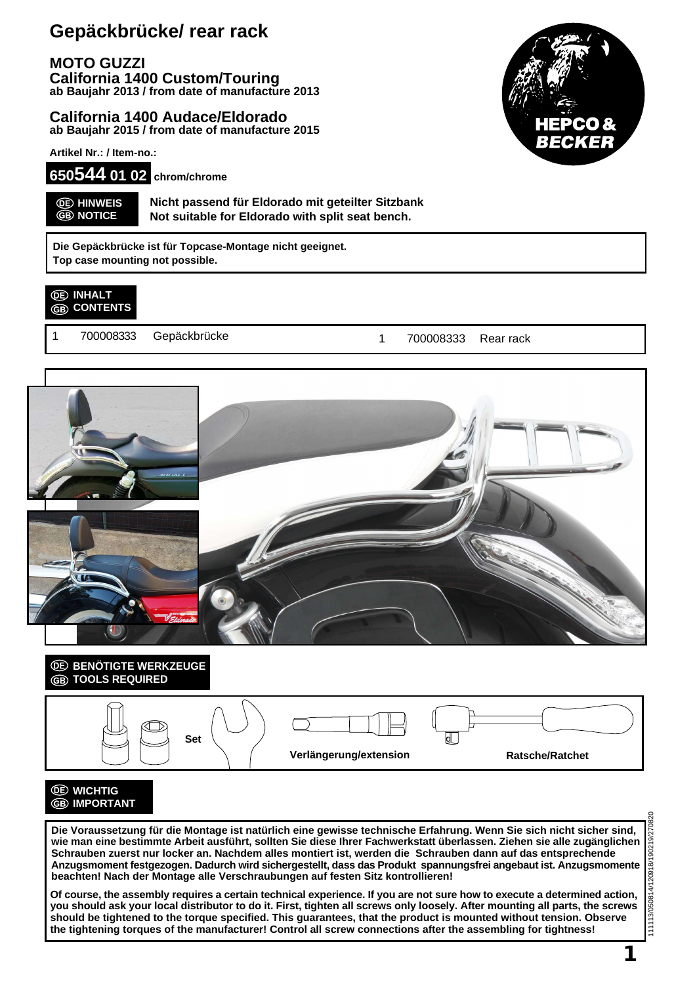## **Gepäckbrücke/ rear rack**

**MOTO GUZZI California 1400 Custom/Touring ab Baujahr 2013 / from date of manufacture 2013**

**California 1400 Audace/Eldorado ab Baujahr 2015 / from date of manufacture 2015**

**Artikel Nr.: / Item-no.:**

**650544 01 02 chrom/chrome**

**HINWEIS GB NOTICE** 

**Nicht passend für Eldorado mit geteilter Sitzbank Not suitable for Eldorado with split seat bench.**

**Die Gepäckbrücke ist für Topcase-Montage nicht geeignet. Top case mounting not possible.**

## **INHALT CONTENTS**

1 700008333 Gepäckbrücke 1 700008333 Rear rack

**Verlängerung/extension Ratsche/Ratchet**

**BENÖTIGTE WERKZEUGE TOOLS REQUIRED**

**Set**

#### **WICHTIG GB** IMPORTANT

**Die Voraussetzung für die Montage ist natürlich eine gewisse technische Erfahrung. Wenn Sie sich nicht sicher sind, wie man eine bestimmte Arbeit ausführt, sollten Sie diese Ihrer Fachwerkstatt überlassen. Ziehen sie alle zugänglichen Schrauben zuerst nur locker an. Nachdem alles montiert ist, werden die Schrauben dann auf das entsprechende Anzugsmoment festgezogen. Dadurch wird sichergestellt, dass das Produkt spannungsfrei angebaut ist. Anzugsmomente beachten! Nach der Montage alle Verschraubungen auf festen Sitz kontrollieren!**

111113/050814/120918/190219/270820 1113/050814/120918/190219/270820 **Of course, the assembly requires a certain technical experience. If you are not sure how to execute a determined action, you should ask your local distributor to do it. First, tighten all screws only loosely. After mounting all parts, the screws should be tightened to the torque specified. This guarantees, that the product is mounted without tension. Observe the tightening torques of the manufacturer! Control all screw connections after the assembling for tightness!**

**1**